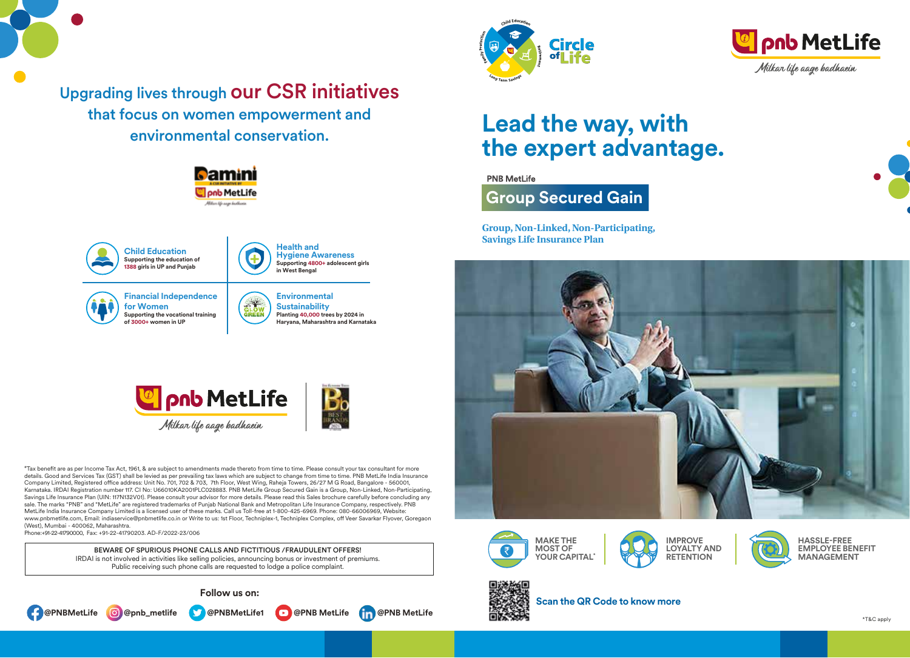

Upgrading lives through our CSR initiatives that focus on women empowerment and environmental conservation.







# **Lead the way, with the expert advantage.**

**PNB MetLife** 

**Group Secured Gain** 

**Group, Non-Linked, Non-Participating, Savings Life Insurance Plan**











**HASSLE-FREE EMPLOYEE BENEFIT MANAGEMENT**



**Scan the QR Code to know more**







 $B_0$ 



#Tax benefit are as per Income Tax Act, 1961, & are subject to amendments made thereto from time to time. Please consult your tax consultant for more details. Good and Services Tax (GST) shall be levied as per prevailing tax laws which are subject to change from time to time. PNB MetLife India Insurance Company Limited, Registered office address: Unit No. 701, 702 & 703, 7th Floor, West Wing, Raheja Towers, 26/27 M G Road, Bangalore - 560001, Karnataka. IRDAI Registration number 117. CI No: U66010KA2001PLC028883. PNB MetLife Group Secured Gain is a Group, Non-Linked, Non-Participating, Savings Life Insurance Plan (UIN: 117N132V01). Please consult your advisor for more details. Please read this Sales brochure carefully before concluding any sale. The marks "PNB" and "MetLife" are registered trademarks of Punjab National Bank and Metropolitan Life Insurance Company, respectively. PNB MetLife India Insurance Company Limited is a licensed user of these marks. Call us Toll-free at 1-800-425-6969. Phone: 080-66006969, Website: www.pnbmetlife.com, Email: indiaservice@pnbmetlife.co.in or Write to us: 1st Floor, Techniplex-1, Techniplex Complex, off Veer Savarkar Flyover, Goregaon (West), Mumbai - 400062, Maharashtra. Phone:+91-22-41790000, Fax: +91-22-41790203. AD-F/2022-23/006

BEWARE OF SPURIOUS PHONE CALLS AND FICTITIOUS /FRAUDULENT OFFERS! IRDAI is not involved in activities like selling policies, announcing bonus or investment of premiums. Public receiving such phone calls are requested to lodge a police complaint.

**Follow us on:**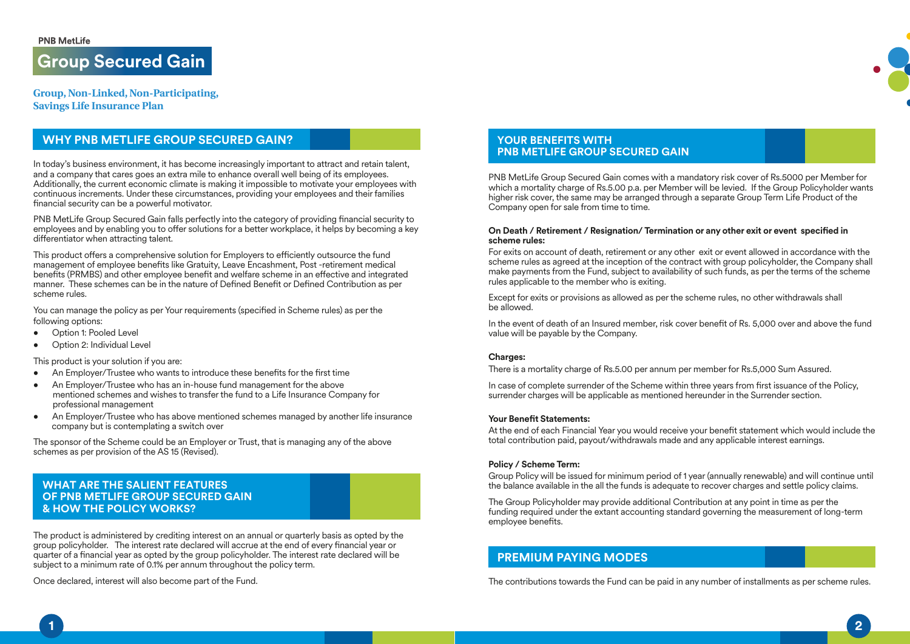**Group Secured Gain** 

**Group, Non-Linked, Non-Participating, Savings Life Insurance Plan**

## **WHY PNB METLIFE GROUP SECURED GAIN?**

In today's business environment, it has become increasingly important to attract and retain talent, and a company that cares goes an extra mile to enhance overall well being of its employees. Additionally, the current economic climate is making it impossible to motivate your employees with continuous increments. Under these circumstances, providing your employees and their families financial security can be a powerful motivator.

PNB MetLife Group Secured Gain falls perfectly into the category of providing financial security to employees and by enabling you to offer solutions for a better workplace, it helps by becoming a key differentiator when attracting talent.

This product offers a comprehensive solution for Employers to efficiently outsource the fund management of employee benefits like Gratuity, Leave Encashment, Post -retirement medical benefits (PRMBS) and other employee benefit and welfare scheme in an effective and integrated manner. These schemes can be in the nature of Defined Benefit or Defined Contribution as per scheme rules.

You can manage the policy as per Your requirements (specified in Scheme rules) as per the following options:

- Option 1: Pooled Level
- Option 2: Individual Level

This product is your solution if you are:

- An Employer/Trustee who wants to introduce these benefits for the first time
- An Employer/Trustee who has an in-house fund management for the above mentioned schemes and wishes to transfer the fund to a Life Insurance Company for professional management
- An Employer/Trustee who has above mentioned schemes managed by another life insurance company but is contemplating a switch over

The sponsor of the Scheme could be an Employer or Trust, that is managing any of the above schemes as per provision of the AS 15 (Revised).

**WHAT ARE THE SALIENT FEATURES OF PNB METLIFE GROUP SECURED GAIN & HOW THE POLICY WORKS?** 

The product is administered by crediting interest on an annual or quarterly basis as opted by the group policyholder. The interest rate declared will accrue at the end of every financial year or quarter of a financial year as opted by the group policyholder. The interest rate declared will be subject to a minimum rate of 0.1% per annum throughout the policy term.

Once declared, interest will also become part of the Fund.

### **YOUR BENEFITS WITH PNB METLIFE GROUP SECURED GAIN**

PNB MetLife Group Secured Gain comes with a mandatory risk cover of Rs.5000 per Member for which a mortality charge of Rs.5.00 p.a. per Member will be levied. If the Group Policyholder wants higher risk cover, the same may be arranged through a separate Group Term Life Product of the Company open for sale from time to time.

#### **On Death / Retirement / Resignation/ Termination or any other exit or event specified in scheme rules:**

For exits on account of death, retirement or any other exit or event allowed in accordance with the scheme rules as agreed at the inception of the contract with group policyholder, the Company shall make payments from the Fund, subject to availability of such funds, as per the terms of the scheme rules applicable to the member who is exiting.

Except for exits or provisions as allowed as per the scheme rules, no other withdrawals shall be allowed.

In the event of death of an Insured member, risk cover benefit of Rs. 5,000 over and above the fund value will be payable by the Company.

#### **Charges:**

There is a mortality charge of Rs.5.00 per annum per member for Rs.5,000 Sum Assured.

In case of complete surrender of the Scheme within three years from first issuance of the Policy, surrender charges will be applicable as mentioned hereunder in the Surrender section.

#### **Your Benefit Statements:**

At the end of each Financial Year you would receive your benefit statement which would include the total contribution paid, payout/withdrawals made and any applicable interest earnings.

#### **Policy / Scheme Term:**

Group Policy will be issued for minimum period of 1 year (annually renewable) and will continue until the balance available in the all the funds is adequate to recover charges and settle policy claims.

The Group Policyholder may provide additional Contribution at any point in time as per the funding required under the extant accounting standard governing the measurement of long-term employee benefits.

## **PREMIUM PAYING MODES**

The contributions towards the Fund can be paid in any number of installments as per scheme rules.

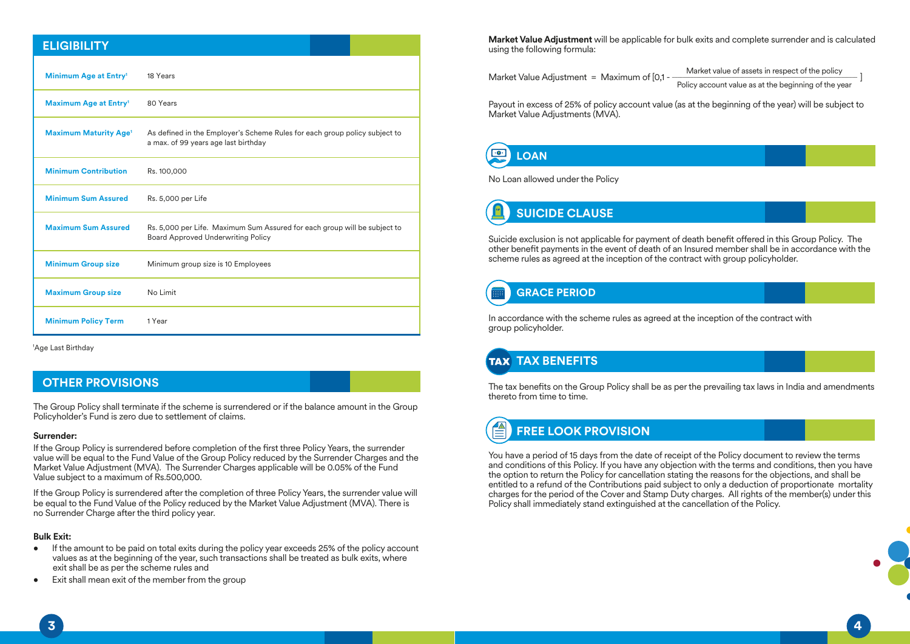### **ELIGIBILITY**

| Minimum Age at Entry <sup>1</sup>       | 18 Years                                                                                                           |
|-----------------------------------------|--------------------------------------------------------------------------------------------------------------------|
| Maximum Age at Entry <sup>1</sup>       | 80 Years                                                                                                           |
| <b>Maximum Maturity Age<sup>1</sup></b> | As defined in the Employer's Scheme Rules for each group policy subject to<br>a max. of 99 years age last birthday |
| <b>Minimum Contribution</b>             | Rs. 100,000                                                                                                        |
| <b>Minimum Sum Assured</b>              | Rs. 5,000 per Life                                                                                                 |
| <b>Maximum Sum Assured</b>              | Rs. 5,000 per Life. Maximum Sum Assured for each group will be subject to<br>Board Approved Underwriting Policy    |
| <b>Minimum Group size</b>               | Minimum group size is 10 Employees                                                                                 |
| <b>Maximum Group size</b>               | No Limit                                                                                                           |
| <b>Minimum Policy Term</b>              | 1 Year                                                                                                             |

1 Age Last Birthday

## **OTHER PROVISIONS**

The Group Policy shall terminate if the scheme is surrendered or if the balance amount in the Group Policyholder's Fund is zero due to settlement of claims.

#### **Surrender:**

If the Group Policy is surrendered before completion of the first three Policy Years, the surrender value will be equal to the Fund Value of the Group Policy reduced by the Surrender Charges and the Market Value Adjustment (MVA). The Surrender Charges applicable will be 0.05% of the Fund Value subject to a maximum of Rs.500,000.

If the Group Policy is surrendered after the completion of three Policy Years, the surrender value will be equal to the Fund Value of the Policy reduced by the Market Value Adjustment (MVA). There is no Surrender Charge after the third policy year.

#### **Bulk Exit:**

- If the amount to be paid on total exits during the policy year exceeds 25% of the policy account values as at the beginning of the year, such transactions shall be treated as bulk exits, where exit shall be as per the scheme rules and
- Exit shall mean exit of the member from the group

**Market Value Adjustment** will be applicable for bulk exits and complete surrender and is calculated using the following formula:

Market Value Adjustment = Maximum of  $[0.1 -$ Market value of assets in respect of the policy Policy account value as at the beginning of the year

Payout in excess of 25% of policy account value (as at the beginning of the year) will be subject to Market Value Adjustments (MVA).

#### $\boxed{0}$ **LOAN**

No Loan allowed under the Policy



Suicide exclusion is not applicable for payment of death benefit offered in this Group Policy. The other benefit payments in the event of death of an Insured member shall be in accordance with the scheme rules as agreed at the inception of the contract with group policyholder.

## **GRACE PERIOD**

In accordance with the scheme rules as agreed at the inception of the contract with group policyholder.

## **TAX BENEFITS**

The tax benefits on the Group Policy shall be as per the prevailing tax laws in India and amendments thereto from time to time.

#### $\triangleq$ **FREE LOOK PROVISION**

You have a period of 15 days from the date of receipt of the Policy document to review the terms and conditions of this Policy. If you have any objection with the terms and conditions, then you have the option to return the Policy for cancellation stating the reasons for the objections, and shall be entitled to a refund of the Contributions paid subject to only a deduction of proportionate mortality charges for the period of the Cover and Stamp Duty charges. All rights of the member(s) under this Policy shall immediately stand extinguished at the cancellation of the Policy.